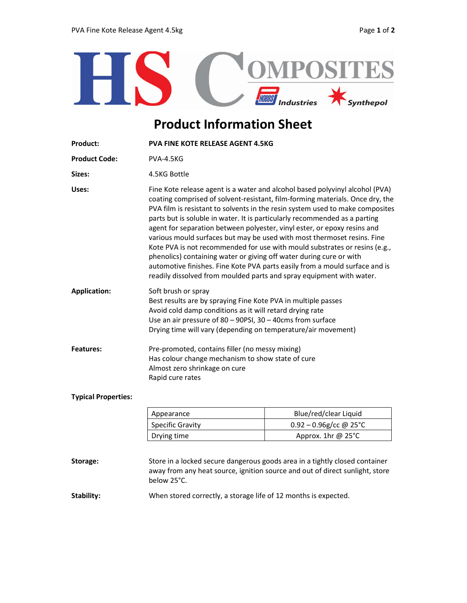

## Product Information Sheet

| Product:             | <b>PVA FINE KOTE RELEASE AGENT 4.5KG</b>                                                                                                                                                                                                                                                                                                                                                                                                                                                                                                                                                                                                                                                                                                                                                        |  |
|----------------------|-------------------------------------------------------------------------------------------------------------------------------------------------------------------------------------------------------------------------------------------------------------------------------------------------------------------------------------------------------------------------------------------------------------------------------------------------------------------------------------------------------------------------------------------------------------------------------------------------------------------------------------------------------------------------------------------------------------------------------------------------------------------------------------------------|--|
| <b>Product Code:</b> | <b>PVA-4.5KG</b>                                                                                                                                                                                                                                                                                                                                                                                                                                                                                                                                                                                                                                                                                                                                                                                |  |
| Sizes:               | 4.5KG Bottle                                                                                                                                                                                                                                                                                                                                                                                                                                                                                                                                                                                                                                                                                                                                                                                    |  |
| Uses:                | Fine Kote release agent is a water and alcohol based polyvinyl alcohol (PVA)<br>coating comprised of solvent-resistant, film-forming materials. Once dry, the<br>PVA film is resistant to solvents in the resin system used to make composites<br>parts but is soluble in water. It is particularly recommended as a parting<br>agent for separation between polyester, vinyl ester, or epoxy resins and<br>various mould surfaces but may be used with most thermoset resins. Fine<br>Kote PVA is not recommended for use with mould substrates or resins (e.g.,<br>phenolics) containing water or giving off water during cure or with<br>automotive finishes. Fine Kote PVA parts easily from a mould surface and is<br>readily dissolved from moulded parts and spray equipment with water. |  |
| <b>Application:</b>  | Soft brush or spray<br>Best results are by spraying Fine Kote PVA in multiple passes<br>Avoid cold damp conditions as it will retard drying rate<br>Use an air pressure of $80 - 90$ PSI, $30 - 40$ cms from surface<br>Drying time will vary (depending on temperature/air movement)                                                                                                                                                                                                                                                                                                                                                                                                                                                                                                           |  |
| Features:            | Pre-promoted, contains filler (no messy mixing)<br>Has colour change mechanism to show state of cure<br>Almost zero shrinkage on cure<br>Rapid cure rates                                                                                                                                                                                                                                                                                                                                                                                                                                                                                                                                                                                                                                       |  |
|                      |                                                                                                                                                                                                                                                                                                                                                                                                                                                                                                                                                                                                                                                                                                                                                                                                 |  |

## Typical Properties:

| Appearance       | Blue/red/clear Liquid     |
|------------------|---------------------------|
| Specific Gravity | $0.92 - 0.96$ g/cc @ 25°C |
| Drying time      | Approx. 1hr $@$ 25 $°C$   |

- Storage: Store in a locked secure dangerous goods area in a tightly closed container away from any heat source, ignition source and out of direct sunlight, store below 25°C.
- Stability: When stored correctly, a storage life of 12 months is expected.